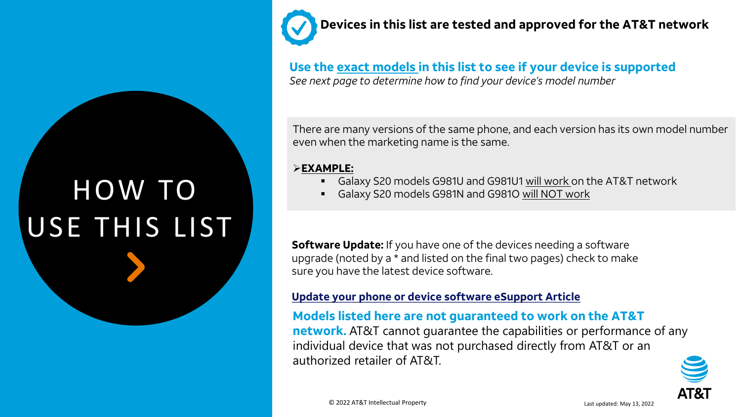# HOW TO USE THIS LIST

**Devices in this list are tested and approved for the AT&T network** 

**Use the exact models in this list to see if your device is supported** *See next page to determine how to find your device's model number*

There are many versions of the same phone, and each version has its own model number even when the marketing name is the same.

#### ➢**EXAMPLE:**

- Galaxy S20 models G981U and G981U1 will work on the AT&T network
- Galaxy S20 models G981N and G981O will NOT work

**Software Update:** If you have one of the devices needing a software upgrade (noted by a \* and listed on the final two pages) check to make sure you have the latest device software.

#### **[Update your phone or device software eSupport Article](https://www.att.com/support/article/wireless/KM1070617/)**

## **Models listed here are not guaranteed to work on the AT&T**

**network.** AT&T cannot guarantee the capabilities or performance of any individual device that was not purchased directly from AT&T or an authorized retailer of AT&T.

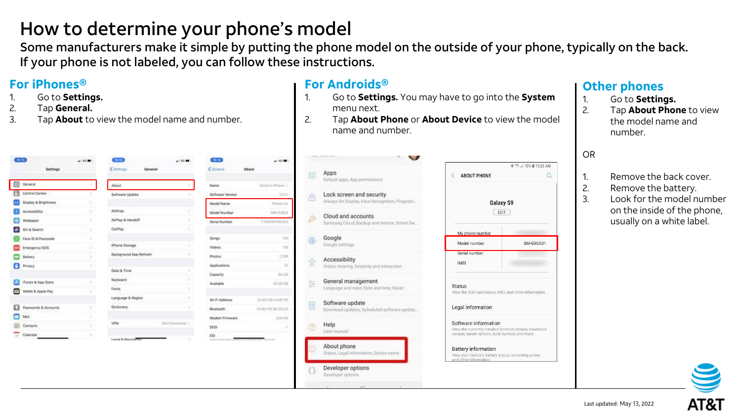## How to determine your phone's model

Some manufacturers make it simple by putting the phone model on the outside of your phone, typically on the back. If your phone is not labeled, you can follow these instructions.

## **For iPhones®**

- 1. Go to **Settings.**
- 2. Tap **General.**
- 3. Tap **About** to view the model name and number.

| (15.13)    |                             | $-140$ <b>M</b> ) | (15.13)                            | $-0.00$ MO      | $(15 - 13)$         | $-140.8$                           |
|------------|-----------------------------|-------------------|------------------------------------|-----------------|---------------------|------------------------------------|
|            | <b>MANUSCRI</b><br>Settings |                   | <settings<br>General</settings<br> |                 | Coneral             | 9432425<br>About                   |
| ◙          | General:                    | r                 | <b>About</b>                       |                 | Name                | Simon's iPhone                     |
| R          | Control Centre              |                   | Software Update                    | 50              | Software Version    | 13.3                               |
|            | Display & Brightness        | 731               |                                    |                 | Model Name          | (Plicane)                          |
| Œ          | Accessibility.              | nb)               | AirDrop                            | 55              | Model Number        | MIY528                             |
|            | Wallpaper                   | 5                 | AirPlay & Handoff                  | ×               | Serial Number       | F71XK5P40LO                        |
|            | Siri & Search               | 73                | CarPlay                            | y.              |                     |                                    |
|            | Face ID & Passcode          | x                 |                                    |                 | Songs.              | t                                  |
|            | Emergency SOS               | ÷                 | Phone Storage                      | DO.             | <b>Videos</b>       | 31                                 |
|            | Battery                     | x                 | Background App Refresh             |                 | Photos <sup>1</sup> | 1,76                               |
|            | Privacy.                    | ×                 |                                    |                 | Applications        |                                    |
|            |                             |                   | Date & Time                        |                 | Capacity            | 04.0                               |
|            | iTunes & App Store          | ×                 | Keyboard                           | 51              | Available           | 20.08 C                            |
|            | Wallet & Apple Pay          | ×                 | Fonts                              | 11              |                     |                                    |
|            |                             |                   | Language & Region                  | 3. L            | Wi-Fi Address       | E4:82-FB/4A/8F/                    |
| ь          | Passwords & Accounts        |                   | Dictionary                         |                 | Bluetooth           | E483 FB38 50.0                     |
| <b>COL</b> | Mail                        | s.                |                                    |                 | Modern Firmware     | 2.041                              |
|            | Contacts                    | s.                | VPN                                | Not Connected 3 | SEID                |                                    |
|            | Calendar                    | ×                 | Levasi & Recycla Trev              | ×               | EID:                | 6041041044145512745555555575141034 |

#### **For Androids®**

- 1. Go to **Settings.** You may have to go into the **System**  menu next.
- 2. Tap **About Phone** or **About Device** to view the model name and number.

| 38 | Apps<br>Default apps. App permissions                                      | AE                                  |
|----|----------------------------------------------------------------------------|-------------------------------------|
| Ÿ  | Lock screen and security<br>Always On Display, Face Recognition, Fingerpri |                                     |
|    | Cloud and accounts<br>Samsung Cloud, Backup and restore, Smart Sw.         |                                     |
| G) | Google<br>Google settings.                                                 | My p<br>Mod                         |
|    | Accessibility<br>Vision, Hearing, Dexterby and Interaction                 | Seria<br><b>IME</b>                 |
|    | General management<br>Language and input, Date and time, Reset             | <b>Status</b><br>View the           |
| 45 | Software update<br>Download updates, Scheduled software update.            | Legal                               |
|    | Help<br>User manual                                                        | Softw<br>View the<br>version,       |
|    | About phone<br>Status, Legal information, Device name:                     | <b>Batter</b><br>View yo<br>and oth |
| Ð  | Developer options<br>Developer options                                     |                                     |
|    |                                                                            |                                     |

|                                                        | * <sup>●</sup> 4 72% ■ 10:23 AM                  |
|--------------------------------------------------------|--------------------------------------------------|
| < ABOUT PHONE                                          | $\alpha$                                         |
| Galaxy S9<br>EDIT                                      |                                                  |
| My phone number                                        |                                                  |
| Model number                                           | <b>SM-G960U1</b>                                 |
| Serial number                                          |                                                  |
| <b>IMEL</b>                                            |                                                  |
| <b>Status</b>                                          |                                                  |
| View the SIM card status, IMEI, and other information, |                                                  |
| Legal information                                      |                                                  |
| Software information                                   |                                                  |
| View the currently installed Android version, baseband | version, kernel version, build number, and more. |

#### **Other phones**

- 1. Go to **Settings.**
- 2. Tap **About Phone** to view the model name and number.

#### OR

- 1. Remove the back cover.
- 2. Remove the battery.
- 3. Look for the model number on the inside of the phone, usually on a white label.

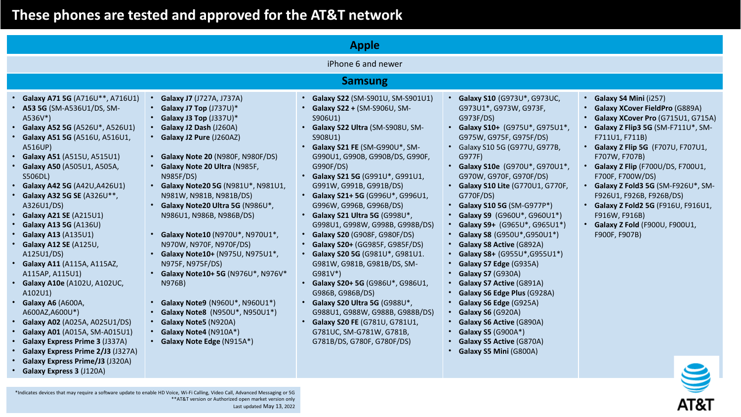AT&T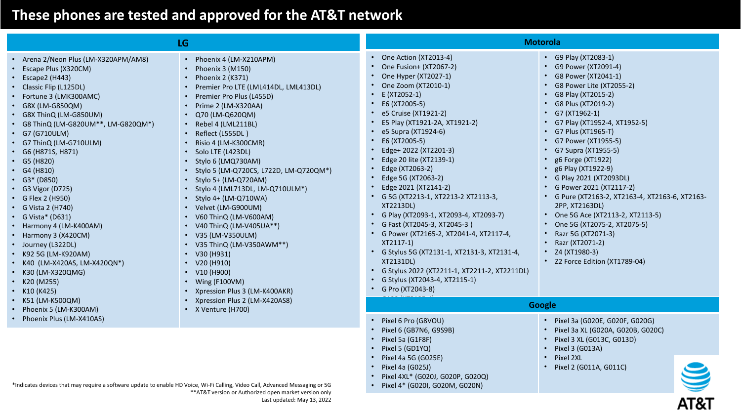|                                                                                                                                                                                                                                                                                                                                                                                                                                                                                                                                                                                                                  | <b>LG</b>                                                                                                                                                                                                                                                                                                                                                                                                                                                                                                                                                                                                                                                        |                                                                                                                                                                                                                                                                                                                                                                                                                                                                                                                                                                                                                                                                                                                                                                          | <b>Motorola</b>                                                                                                                                                                                                                                                                                                                                                                                                                                                                                                                                                                                                            |
|------------------------------------------------------------------------------------------------------------------------------------------------------------------------------------------------------------------------------------------------------------------------------------------------------------------------------------------------------------------------------------------------------------------------------------------------------------------------------------------------------------------------------------------------------------------------------------------------------------------|------------------------------------------------------------------------------------------------------------------------------------------------------------------------------------------------------------------------------------------------------------------------------------------------------------------------------------------------------------------------------------------------------------------------------------------------------------------------------------------------------------------------------------------------------------------------------------------------------------------------------------------------------------------|--------------------------------------------------------------------------------------------------------------------------------------------------------------------------------------------------------------------------------------------------------------------------------------------------------------------------------------------------------------------------------------------------------------------------------------------------------------------------------------------------------------------------------------------------------------------------------------------------------------------------------------------------------------------------------------------------------------------------------------------------------------------------|----------------------------------------------------------------------------------------------------------------------------------------------------------------------------------------------------------------------------------------------------------------------------------------------------------------------------------------------------------------------------------------------------------------------------------------------------------------------------------------------------------------------------------------------------------------------------------------------------------------------------|
| • Arena 2/Neon Plus (LM-X320APM/AM8)<br>Escape Plus (X320CM)<br>Escape2 (H443)<br>• Classic Flip (L125DL)<br>• Fortune 3 (LMK300AMC)<br>• G8X (LM-G850QM)<br>• G8X ThinQ (LM-G850UM)<br>• G8 ThinQ (LM-G820UM**, LM-G820QM*)<br>• G7 (G710ULM)<br>• G7 ThinQ (LM-G710ULM)<br>• G6 (H871S, H871)<br>• $G5(H820)$<br>• $G4(H810)$<br>• $G3* (D850)$<br>• G3 Vigor (D725)<br>• G Flex 2 (H950)<br>• G Vista 2 (H740)<br>• G Vista* (D631)<br>• Harmony 4 (LM-K400AM)<br>• Harmony 3 (X420CM)<br>• Journey (L322DL)<br>• K92 5G (LM-K920AM)<br>• K40 (LM-X420AS, LM-X420QN*)<br>• K30 (LM-X320QMG)<br>• $K20 (M255)$ | • Phoenix 4 (LM-X210APM)<br>Phoenix 3 (M150)<br>Phoenix 2 (K371)<br>Premier Pro LTE (LML414DL, LML413DL)<br>• Premier Pro Plus (L455D)<br>• Prime 2 (LM-X320AA)<br>• Q70 (LM-Q620QM)<br>• Rebel 4 (LML211BL)<br>• Reflect (L555DL)<br>Risio 4 (LM-K300CMR)<br>• Solo LTE (L423DL)<br>• Stylo 6 (LMQ730AM)<br>• Stylo 5 (LM-Q720CS, L722D, LM-Q720QM*)<br>• Stylo 5+ (LM-Q720AM)<br>• Stylo 4 (LML713DL, LM-Q710ULM*)<br>• Stylo $4+$ (LM-Q710WA)<br>• Velvet (LM-G900UM)<br>• V60 ThinQ (LM-V600AM)<br>• V40 ThinQ (LM-V405UA**)<br>• V35 (LM-V350ULM)<br>• V35 ThinQ (LM-V350AWM**)<br>• $V30(H931)$<br>$\cdot$ V20 (H910)<br>• $V10$ (H900)<br>• Wing (F100VM) | One Action (XT2013-4)<br>$\bullet$<br>One Fusion+ (XT2067-2)<br>One Hyper (XT2027-1)<br>One Zoom (XT2010-1)<br>E (XT2052-1)<br>$\bullet$<br>E6 (XT2005-5)<br>$\bullet$<br>e5 Cruise (XT1921-2)<br>E5 Play (XT1921-2A, XT1921-2)<br>e5 Supra (XT1924-6)<br>E6 (XT2005-5)<br>Edge+ 2022 (XT2201-3)<br>Edge 20 lite (XT2139-1)<br>Edge (XT2063-2)<br>Edge 5G (XT2063-2)<br>Edge 2021 (XT2141-2)<br>G 5G (XT2213-1, XT2213-2 XT2113-3,<br><b>XT2213DL)</b><br>G Play (XT2093-1, XT2093-4, XT2093-7)<br>$\bullet$<br>G Fast (XT2045-3, XT2045-3)<br>$\bullet$<br>G Power (XT2165-2, XT2041-4, XT2117-4,<br>$\bullet$<br>XT2117-1)<br>G Stylus 5G (XT2131-1, XT2131-3, XT2131-4,<br>XT2131DL)<br>G Stylus 2022 (XT2211-1, XT2211-2, XT2211DL)<br>G Stylus (XT2043-4, XT2115-1) | • G9 Play (XT2083-1)<br>• G9 Power (XT2091-4)<br>• G8 Power (XT2041-1)<br>• G8 Power Lite (XT2055-2)<br>G8 Play (XT2015-2)<br>G8 Plus (XT2019-2)<br>G7 (XT1962-1)<br>• G7 Play (XT1952-4, XT1952-5)<br>• G7 Plus (XT1965-T)<br>• G7 Power (XT1955-5)<br>G7 Supra (XT1955-5)<br>g6 Forge (XT1922)<br>g6 Play (XT1922-9)<br>• G Play 2021 (XT2093DL)<br>• G Power 2021 (XT2117-2)<br>• G Pure (XT2163-2, XT2163-4, XT2163-6, XT2163-<br>2PP, XT2163DL)<br>• One 5G Ace (XT2113-2, XT2113-5)<br>• One 5G (XT2075-2, XT2075-5)<br>Razr 5G (XT2071-3)<br>Razr (XT2071-2)<br>• $Z4$ (XT1980-3)<br>• Z2 Force Edition (XT1789-04) |
| K10 (K425)<br>K51 (LM-K500QM)                                                                                                                                                                                                                                                                                                                                                                                                                                                                                                                                                                                    | • Xpression Plus 3 (LM-K400AKR)<br>• Xpression Plus 2 (LM-X420AS8)                                                                                                                                                                                                                                                                                                                                                                                                                                                                                                                                                                                               | G Pro (XT2043-8)                                                                                                                                                                                                                                                                                                                                                                                                                                                                                                                                                                                                                                                                                                                                                         | <b>Google</b>                                                                                                                                                                                                                                                                                                                                                                                                                                                                                                                                                                                                              |
| Phoenix 5 (LM-K300AM)<br>• Phoenix Plus (LM-X410AS)                                                                                                                                                                                                                                                                                                                                                                                                                                                                                                                                                              | • X Venture (H700)                                                                                                                                                                                                                                                                                                                                                                                                                                                                                                                                                                                                                                               | Pixel 6 Pro (G8VOU)                                                                                                                                                                                                                                                                                                                                                                                                                                                                                                                                                                                                                                                                                                                                                      | • Pixel 3a (G020E, G020F, G020G)                                                                                                                                                                                                                                                                                                                                                                                                                                                                                                                                                                                           |
|                                                                                                                                                                                                                                                                                                                                                                                                                                                                                                                                                                                                                  |                                                                                                                                                                                                                                                                                                                                                                                                                                                                                                                                                                                                                                                                  | Pixel 6 (GB7N6, G9S9B)<br>Pixel 5a (G1F8F)<br>$\bullet$<br>Pixel 5 (GD1YQ)<br>$\bullet$<br>Pixel 4a 5G (G025E)<br>Pixel 4a (G025J)<br>$\bullet$                                                                                                                                                                                                                                                                                                                                                                                                                                                                                                                                                                                                                          | • Pixel 3a XL (G020A, G020B, G020C)<br>• Pixel 3 XL (G013C, G013D)<br>• Pixel 3 (G013A)<br>• Pixel 2XL<br>• Pixel 2 (G011A, G011C)                                                                                                                                                                                                                                                                                                                                                                                                                                                                                         |

• Pixel 4XL\* (G020J, G020P, G020Q) • Pixel 4\* (G020I, G020M, G020N)

\*Indicates devices that may require a software update to enable HD Voice, Wi-Fi Calling, Video Call, Advanced Messaging or 5G \*\*AT&T version or Authorized open market version only Last updated: May 13, 2022

S AT&T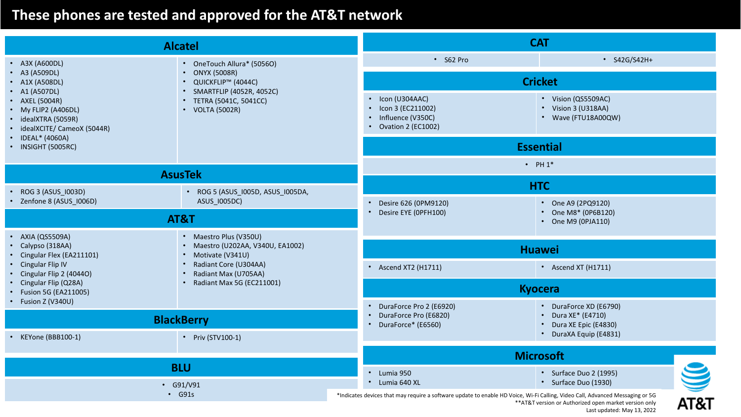| <b>Alcatel</b>                                                                                                                                            |                                                                          | <b>CAT</b>                                                                                                                                                                                                                    |                                                                      |  |
|-----------------------------------------------------------------------------------------------------------------------------------------------------------|--------------------------------------------------------------------------|-------------------------------------------------------------------------------------------------------------------------------------------------------------------------------------------------------------------------------|----------------------------------------------------------------------|--|
| • A3X (A600DL)<br>• OneTouch Allura* (50560)                                                                                                              |                                                                          | • S62 Pro                                                                                                                                                                                                                     | • S42G/S42H+                                                         |  |
| A3 (A509DL)<br>• A1X (A508DL)                                                                                                                             | • ONYX (5008R)<br>• QUICKFLIP <sup>™</sup> (4044C)                       | <b>Cricket</b>                                                                                                                                                                                                                |                                                                      |  |
| • A1 (A507DL)<br>• AXEL (5004R)<br>• My FLIP2 (A406DL)<br>idealXTRA (5059R)<br>idealXCITE/ CameoX (5044R)<br>IDEAL* (4060A)                               | • SMARTFLIP (4052R, 4052C)<br>• TETRA (5041C, 5041CC)<br>• VOLTA (5002R) | • Icon (U304AAC)<br>• Icon 3 (EC211002)<br>• Influence (V350C)<br>• Ovation 2 (EC1002)                                                                                                                                        | • Vision (QS5509AC)<br>• Vision 3 (U318AA)<br>• Wave (FTU18A00QW)    |  |
| INSIGHT (5005RC)                                                                                                                                          |                                                                          |                                                                                                                                                                                                                               | <b>Essential</b>                                                     |  |
|                                                                                                                                                           | <b>AsusTek</b>                                                           |                                                                                                                                                                                                                               | $\cdot$ PH $1^*$                                                     |  |
|                                                                                                                                                           |                                                                          |                                                                                                                                                                                                                               | <b>HTC</b>                                                           |  |
| ROG 3 (ASUS_1003D)<br>• Zenfone 8 (ASUS_I006D)                                                                                                            | • ROG 5 (ASUS_1005D, ASUS_1005DA,<br>ASUS_1005DC)                        | Desire 626 (0PM9120)                                                                                                                                                                                                          | • One A9 (2PQ9120)                                                   |  |
| AT&T                                                                                                                                                      |                                                                          | • Desire EYE (OPFH100)                                                                                                                                                                                                        | • One M8* (0P6B120)<br>• One M9 (0PJA110)                            |  |
| <b>AXIA (QS5509A)</b><br>• Maestro Plus (V350U)<br>• Maestro (U202AA, V340U, EA1002)<br>Calypso (318AA)<br>Cingular Flex (EA211101)<br>• Motivate (V341U) |                                                                          | <b>Huawei</b>                                                                                                                                                                                                                 |                                                                      |  |
| Cingular Flip IV<br>Cingular Flip 2 (4044O)                                                                                                               | • Radiant Core (U304AA)<br>• Radiant Max (U705AA)                        | • Ascend XT2 (H1711)                                                                                                                                                                                                          | • Ascend XT (H1711)                                                  |  |
| Cingular Flip (Q28A)<br>Fusion 5G (EA211005)                                                                                                              | • Radiant Max 5G (EC211001)                                              | <b>Kyocera</b>                                                                                                                                                                                                                |                                                                      |  |
| Fusion Z (V340U)                                                                                                                                          | <b>BlackBerry</b>                                                        | DuraForce Pro 2 (E6920)<br>DuraForce Pro (E6820)<br>$\bullet$<br>• DuraForce* (E6560)                                                                                                                                         | • DuraForce XD (E6790)<br>• Dura XE* (E4710)<br>Dura XE Epic (E4830) |  |
| KEYone (BBB100-1)                                                                                                                                         | • Priv (STV100-1)                                                        |                                                                                                                                                                                                                               | • DuraXA Equip (E4831)                                               |  |
|                                                                                                                                                           |                                                                          |                                                                                                                                                                                                                               | <b>Microsoft</b>                                                     |  |
| <b>BLU</b><br>$\cdot$ G91/V91<br>$\cdot$ G91s                                                                                                             |                                                                          | • Lumia 950<br>• Lumia 640 XL                                                                                                                                                                                                 | S<br>• Surface Duo 2 (1995)<br>• Surface Duo (1930)                  |  |
|                                                                                                                                                           |                                                                          | *Indicates devices that may require a software update to enable HD Voice, Wi-Fi Calling, Video Call, Advanced Messaging or 5G<br>AT&T<br>** AT&T version or Authorized open market version only<br>Last updated: May 13, 2022 |                                                                      |  |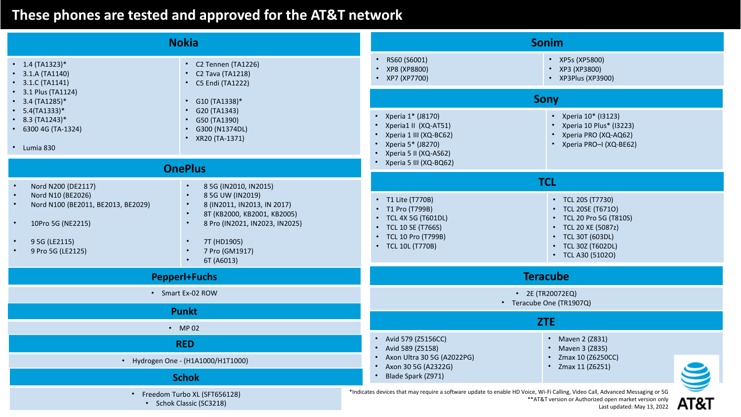|                                                                                                                                                                                     | <b>Nokia</b>                                                                                                                                                                                                              | Sonim                                                                                                                             |                                                                                                                                                           |  |  |
|-------------------------------------------------------------------------------------------------------------------------------------------------------------------------------------|---------------------------------------------------------------------------------------------------------------------------------------------------------------------------------------------------------------------------|-----------------------------------------------------------------------------------------------------------------------------------|-----------------------------------------------------------------------------------------------------------------------------------------------------------|--|--|
| $\cdot$ 1.4 (TA1323)*<br>• C2 Tennen (TA1226)<br>$\cdot$ 3.1.A (TA1140)<br>• C2 Tava (TA1218)<br>• C5 Endi (TA1222)<br>$\cdot$ 3.1.C (TA1141)                                       |                                                                                                                                                                                                                           | RS60 (S6001)<br>$\bullet$<br>• XP5s (XP5800)<br>• XP8 (XP8800)<br>• XP3 (XP3800)<br>• XP7 (XP7700)                                | • XP3Plus (XP3900)                                                                                                                                        |  |  |
| • $3.4$ (TA1285)*                                                                                                                                                                   | • 3.1 Plus (TA1124)<br>• $G10 (TA1338)*$<br>$\cdot$ G20 (TA1343)<br>• $5.4(TA1333)*$<br>$\cdot$ 8.3 (TA1243)*<br>$\cdot$ G50 (TA1390)<br>$\cdot$ 6300 4G (TA-1324)<br>• G300 (N1374DL)<br>• XR20 (TA-1371)<br>• Lumia 830 | <b>Sony</b>                                                                                                                       |                                                                                                                                                           |  |  |
|                                                                                                                                                                                     |                                                                                                                                                                                                                           | • Xperia 1* (J8170)<br>• Xperia1 II (XQ-AT51)<br>• Xperia 1 III (XQ-BC62)<br>• Xperia 5* (J8270)<br>• Xperia 5 II (XQ-AS62)       | • Xperia 10* (13123)<br>• Xperia 10 Plus* (13223)<br>• Xperia PRO (XQ-AQ62)<br>• Xperia PRO-I (XQ-BE62)                                                   |  |  |
| <b>OnePlus</b>                                                                                                                                                                      |                                                                                                                                                                                                                           | • Xperia 5 III (XQ-BQ62)                                                                                                          |                                                                                                                                                           |  |  |
| Nord N200 (DE2117)<br>$\bullet$                                                                                                                                                     | 8 5G (IN2010, IN2015)                                                                                                                                                                                                     | <b>TCL</b>                                                                                                                        |                                                                                                                                                           |  |  |
| Nord N10 (BE2026)<br>$\bullet$<br>Nord N100 (BE2011, BE2013, BE2029)<br>$\bullet$<br>10Pro 5G (NE2215)<br>$\bullet$<br>9 5G (LE2115)<br>$\bullet$<br>9 Pro 5G (LE2125)<br>$\bullet$ | 8 5G UW (IN2019)<br>8 (IN2011, IN2013, IN 2017)<br>8T (KB2000, KB2001, KB2005)<br>8 Pro (IN2021, IN2023, IN2025)<br>7T (HD1905)<br>7 Pro (GM1917)<br>6T (A6013)                                                           | • T1 Lite (T770B)<br>• T1 Pro (T799B)<br>• TCL 4X 5G (T601DL)<br>• TCL 10 SE (T766S)<br>• TCL 10 Pro (T799B)<br>• TCL 10L (T770B) | • TCL 20S (T7730)<br>• TCL 20SE (T6710)<br>• TCL 20 Pro 5G (T810S)<br>• TCL 20 XE (5087z)<br>• TCL 30T (603DL)<br>• TCL 30Z (T602DL)<br>• TCL A30 (51020) |  |  |
|                                                                                                                                                                                     | <b>Pepperl+Fuchs</b>                                                                                                                                                                                                      | <b>Teracube</b>                                                                                                                   |                                                                                                                                                           |  |  |
|                                                                                                                                                                                     | • Smart Ex-02 ROW                                                                                                                                                                                                         | • 2E (TR20072EQ)<br>• Teracube One (TR1907Q)                                                                                      |                                                                                                                                                           |  |  |
|                                                                                                                                                                                     | <b>Punkt</b>                                                                                                                                                                                                              |                                                                                                                                   |                                                                                                                                                           |  |  |
|                                                                                                                                                                                     | $\cdot$ MP 02                                                                                                                                                                                                             | ZTE                                                                                                                               |                                                                                                                                                           |  |  |
| <b>RED</b>                                                                                                                                                                          |                                                                                                                                                                                                                           | • Avid 579 (Z5156CC)<br>• Maven 2 (Z831)<br>• Avid 589 (Z5158)                                                                    |                                                                                                                                                           |  |  |
| • Hydrogen One - (H1A1000/H1T1000)                                                                                                                                                  |                                                                                                                                                                                                                           | • Maven 3 (Z835)<br>• Axon Ultra 30 5G (A2022PG)<br>• Zmax 10 (Z6250CC)<br>• Zmax 11 (Z6251)                                      |                                                                                                                                                           |  |  |
| <b>Schok</b>                                                                                                                                                                        |                                                                                                                                                                                                                           | • Axon 30 5G (A2322G)<br>• Blade Spark (Z971)                                                                                     |                                                                                                                                                           |  |  |
| • Freedom Turbo XL (SFT656128)<br>• Schok Classic (SC3218)                                                                                                                          |                                                                                                                                                                                                                           | *Indicates devices that may require a software update to enable HD Voice, Wi-Fi Calling, Video Call, Advanced Messaging or 5G     | ** AT&T version or Authorized open market version only<br>AT&T<br>Last updated: May 13, 2022                                                              |  |  |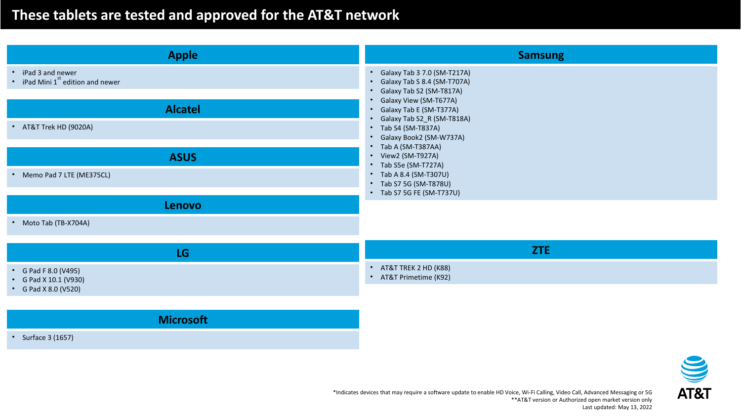**Microsoft**

| <b>Apple</b>                                                                                                                                                            | <b>Samsung</b>                                                                                                                                                                                                                                                                                                                                                                                          |
|-------------------------------------------------------------------------------------------------------------------------------------------------------------------------|---------------------------------------------------------------------------------------------------------------------------------------------------------------------------------------------------------------------------------------------------------------------------------------------------------------------------------------------------------------------------------------------------------|
| iPad 3 and newer<br>$\bullet$<br>• iPad Mini 1 <sup>st</sup> edition and newer<br><b>Alcatel</b><br>• AT&T Trek HD (9020A)<br><b>ASUS</b><br>• Memo Pad 7 LTE (ME375CL) | Galaxy Tab 3 7.0 (SM-T217A)<br>Galaxy Tab S 8.4 (SM-T707A)<br>Galaxy Tab S2 (SM-T817A)<br>$\bullet$<br>Galaxy View (SM-T677A)<br>Galaxy Tab E (SM-T377A)<br>Galaxy Tab S2_R (SM-T818A)<br>• Tab S4 (SM-T837A)<br>Galaxy Book2 (SM-W737A)<br>• Tab A (SM-T387AA)<br>• View2 (SM-T927A)<br>Tab S5e (SM-T727A)<br>$\bullet$<br>• Tab A 8.4 (SM-T307U)<br>Tab S7 5G (SM-T878U)<br>• Tab S7 5G FE (SM-T737U) |
| <b>Lenovo</b>                                                                                                                                                           |                                                                                                                                                                                                                                                                                                                                                                                                         |
| • Moto Tab (TB-X704A)                                                                                                                                                   |                                                                                                                                                                                                                                                                                                                                                                                                         |
| <b>LG</b>                                                                                                                                                               | <b>ZTE</b>                                                                                                                                                                                                                                                                                                                                                                                              |
| G Pad F 8.0 (V495)<br>$\bullet$<br>G Pad X 10.1 (V930)<br>$\bullet$<br>• G Pad X 8.0 (V520)                                                                             | AT&T TREK 2 HD (K88)<br>$\bullet$<br>• AT&T Primetime (K92)                                                                                                                                                                                                                                                                                                                                             |

• Surface 3 (1657)

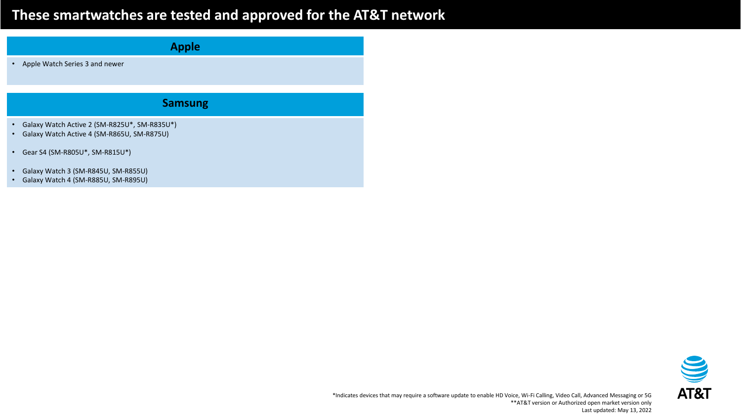## **These smartwatches are tested and approved for the AT&T network**

| <b>Apple</b>           |                                                                                            |  |  |
|------------------------|--------------------------------------------------------------------------------------------|--|--|
| $\bullet$              | Apple Watch Series 3 and newer                                                             |  |  |
|                        |                                                                                            |  |  |
|                        | <b>Samsung</b>                                                                             |  |  |
| $\bullet$<br>$\bullet$ | Galaxy Watch Active 2 (SM-R825U*, SM-R835U*)<br>Galaxy Watch Active 4 (SM-R865U, SM-R875U) |  |  |
| $\bullet$              | Gear S4 (SM-R805U*, SM-R815U*)                                                             |  |  |
| $\bullet$<br>$\bullet$ | Galaxy Watch 3 (SM-R845U, SM-R855U)<br>Galaxy Watch 4 (SM-R885U, SM-R895U)                 |  |  |

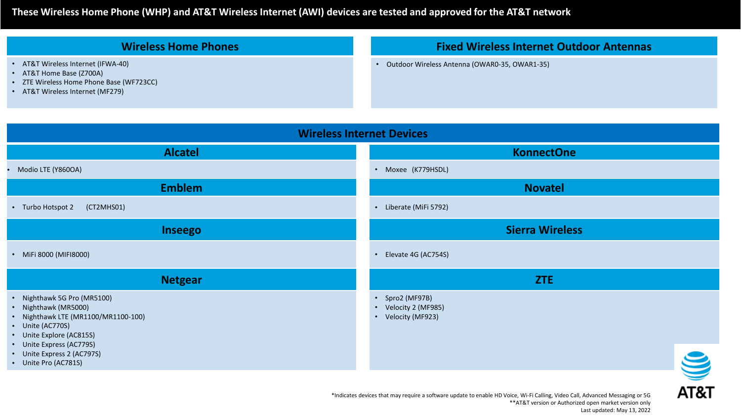#### **These Wireless Home Phone (WHP) and AT&T Wireless Internet (AWI) devices are tested and approved for the AT&T network**

#### **Wireless Home Phones**

- AT&T Wireless Internet (IFWA-40)
- AT&T Home Base (Z700A)
- ZTE Wireless Home Phone Base (WF723CC)
- AT&T Wireless Internet (MF279)

#### **Fixed Wireless Internet Outdoor Antennas**

• Outdoor Wireless Antenna (OWAR0-35, OWAR1-35)

#### **Wireless Internet Devices Alcatel KonnectOne** • Modio LTE (Y860OA) • Moxee (K779HSDL) **Emblem Novatel** • Turbo Hotspot 2 (CT2MHS01) • Liberate (MiFi 5792) **Inseego Sierra Wireless** • MiFi 8000 (MIFI8000) • Elevate 4G (AC754S) **Netgear ZTE** • Nighthawk 5G Pro (MR5100) • Spro2 (MF97B) • Nighthawk (MR5000) • Velocity 2 (MF985) • Nighthawk LTE (MR1100/MR1100-100) • Velocity (MF923) • Unite (AC770S) • Unite Explore (AC815S) • Unite Express (AC779S) S • Unite Express 2 (AC797S) • Unite Pro (AC781S)

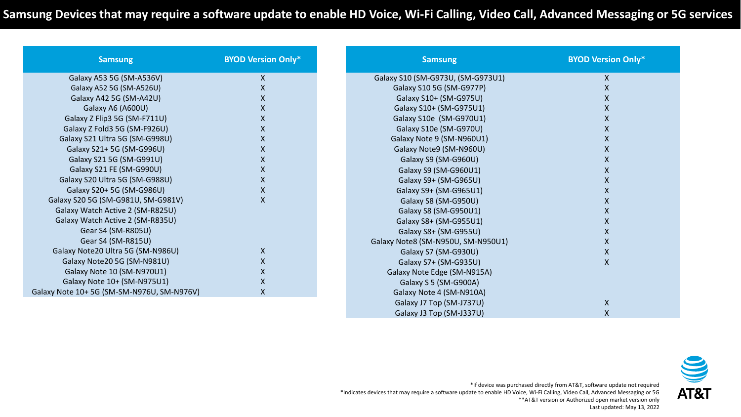| <b>Samsung</b>                            | <b>BYOD Version Only*</b> | <b>Samsung</b>                     | <b>BYOD Version Only*</b> |
|-------------------------------------------|---------------------------|------------------------------------|---------------------------|
| Galaxy A53 5G (SM-A536V)                  | X                         | Galaxy S10 (SM-G973U, (SM-G973U1)  | $\boldsymbol{\mathsf{X}}$ |
| Galaxy A52 5G (SM-A526U)                  | X                         | Galaxy S10 5G (SM-G977P)           | X                         |
| Galaxy A42 5G (SM-A42U)                   |                           | Galaxy S10+ (SM-G975U)             | x                         |
| Galaxy A6 (A600U)                         | X                         | Galaxy S10+ (SM-G975U1)            | X                         |
| Galaxy Z Flip3 5G (SM-F711U)              | Χ                         | Galaxy S10e (SM-G970U1)            | X                         |
| Galaxy Z Fold3 5G (SM-F926U)              | X                         | Galaxy S10e (SM-G970U)             | X                         |
| Galaxy S21 Ultra 5G (SM-G998U)            | X.                        | Galaxy Note 9 (SM-N960U1)          | X                         |
| Galaxy S21+ 5G (SM-G996U)                 | X                         | Galaxy Note9 (SM-N960U)            | X                         |
| Galaxy S21 5G (SM-G991U)                  | X                         | Galaxy S9 (SM-G960U)               | X                         |
| Galaxy S21 FE (SM-G990U)                  | Χ                         | Galaxy S9 (SM-G960U1)              | X                         |
| Galaxy S20 Ultra 5G (SM-G988U)            | X                         | Galaxy S9+ (SM-G965U)              | X                         |
| Galaxy S20+ 5G (SM-G986U)                 | Χ                         | Galaxy S9+ (SM-G965U1)             | $\mathsf{X}$              |
| Galaxy S20 5G (SM-G981U, SM-G981V)        | X                         | Galaxy S8 (SM-G950U)               | X                         |
| Galaxy Watch Active 2 (SM-R825U)          |                           | Galaxy S8 (SM-G950U1)              | X                         |
| Galaxy Watch Active 2 (SM-R835U)          |                           | Galaxy S8+ (SM-G955U1)             | X                         |
| Gear S4 (SM-R805U)                        |                           | Galaxy S8+ (SM-G955U)              | Χ                         |
| Gear S4 (SM-R815U)                        |                           | Galaxy Note8 (SM-N950U, SM-N950U1) | $\boldsymbol{\mathsf{X}}$ |
| Galaxy Note20 Ultra 5G (SM-N986U)         | X                         | Galaxy S7 (SM-G930U)               | $\boldsymbol{\mathsf{X}}$ |
| Galaxy Note20 5G (SM-N981U)               | X                         | Galaxy S7+ (SM-G935U)              | $\pmb{\mathsf{X}}$        |
| Galaxy Note 10 (SM-N970U1)                | Χ                         | Galaxy Note Edge (SM-N915A)        |                           |
| Galaxy Note 10+ (SM-N975U1)               | Χ                         | Galaxy S 5 (SM-G900A)              |                           |
| Galaxy Note 10+5G (SM-SM-N976U, SM-N976V) | X                         | Galaxy Note 4 (SM-N910A)           |                           |
|                                           |                           | Galaxy J7 Top (SM-J737U)           | $\pmb{\mathsf{X}}$        |
|                                           |                           | Galaxy J3 Top (SM-J337U)           | X                         |



\*If device was purchased directly from AT&T, software update not required \*Indicates devices that may require a software update to enable HD Voice, Wi-Fi Calling, Video Call, Advanced Messaging or 5G \*\*AT&T version or Authorized open market version only Last updated: May 13, 2022